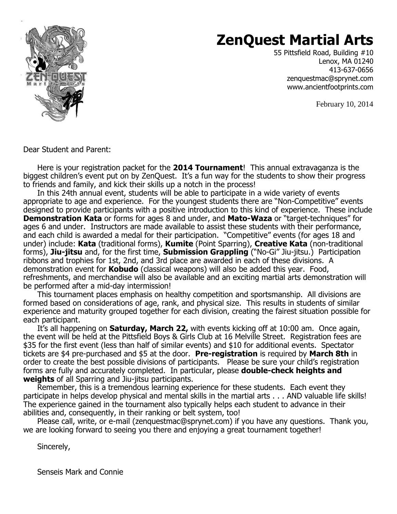

# **ZenQuest Martial Arts**

55 Pittsfield Road, Building #10 Lenox, MA 01240 413-637-0656 zenquestmac@sprynet.com www.ancientfootprints.com

February 10, 2014

Dear Student and Parent:

Here is your registration packet for the **2014 Tournament**! This annual extravaganza is the biggest children's event put on by ZenQuest. It's a fun way for the students to show their progress to friends and family, and kick their skills up a notch in the process!

In this 24th annual event, students will be able to participate in a wide variety of events appropriate to age and experience. For the youngest students there are "Non-Competitive" events designed to provide participants with a positive introduction to this kind of experience. These include **Demonstration Kata** or forms for ages 8 and under, and **Mato-Waza** or "target-techniques" for ages 6 and under. Instructors are made available to assist these students with their performance, and each child is awarded a medal for their participation. "Competitive" events (for ages 18 and under) include: **Kata** (traditional forms), **Kumite** (Point Sparring), **Creative Kata** (non-traditional forms), **Jiu-jitsu** and, for the first time, **Submission Grappling** ("No-Gi" Jiu-jitsu.) Participation ribbons and trophies for 1st, 2nd, and 3rd place are awarded in each of these divisions. A demonstration event for **Kobudo** (classical weapons) will also be added this year. Food, refreshments, and merchandise will also be available and an exciting martial arts demonstration will be performed after a mid-day intermission!

This tournament places emphasis on healthy competition and sportsmanship. All divisions are formed based on considerations of age, rank, and physical size. This results in students of similar experience and maturity grouped together for each division, creating the fairest situation possible for each participant.

It's all happening on **Saturday, March 22,** with events kicking off at 10:00 am. Once again, the event will be held at the Pittsfield Boys & Girls Club at 16 Melville Street. Registration fees are \$35 for the first event (less than half of similar events) and \$10 for additional events. Spectator tickets are \$4 pre-purchased and \$5 at the door. **Pre-registration** is required by **March 8th** in order to create the best possible divisions of participants. Please be sure your child's registration forms are fully and accurately completed. In particular, please **double-check heights and weights** of all Sparring and Jiu-jitsu participants.

Remember, this is a tremendous learning experience for these students. Each event they participate in helps develop physical and mental skills in the martial arts . . . AND valuable life skills! The experience gained in the tournament also typically helps each student to advance in their abilities and, consequently, in their ranking or belt system, too!

Please call, write, or e-mail (zenquestmac@sprynet.com) if you have any questions. Thank you, we are looking forward to seeing you there and enjoying a great tournament together!

Sincerely,

Senseis Mark and Connie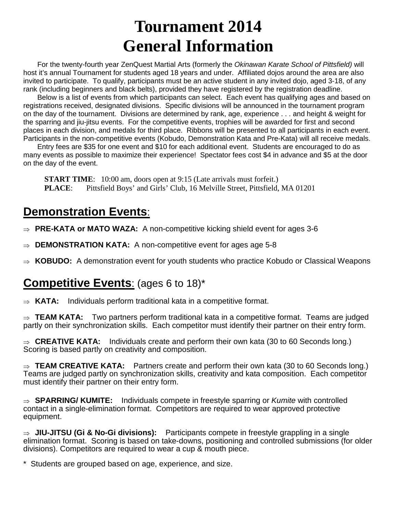# **Tournament 2014 General Information**

For the twenty-fourth year ZenQuest Martial Arts (formerly the Okinawan Karate School of Pittsfield) will host it's annual Tournament for students aged 18 years and under. Affiliated dojos around the area are also invited to participate. To qualify, participants must be an active student in any invited dojo, aged 3-18, of any rank (including beginners and black belts), provided they have registered by the registration deadline.

Below is a list of events from which participants can select. Each event has qualifying ages and based on registrations received, designated divisions. Specific divisions will be announced in the tournament program on the day of the tournament. Divisions are determined by rank, age, experience . . . and height & weight for the sparring and jiu-jitsu events. For the competitive events, trophies will be awarded for first and second places in each division, and medals for third place. Ribbons will be presented to all participants in each event. Participants in the non-competitive events (Kobudo, Demonstration Kata and Pre-Kata) will all receive medals.

Entry fees are \$35 for one event and \$10 for each additional event. Students are encouraged to do as many events as possible to maximize their experience! Spectator fees cost \$4 in advance and \$5 at the door on the day of the event.

**START TIME:** 10:00 am, doors open at 9:15 (Late arrivals must forfeit.) **PLACE**: Pittsfield Boys' and Girls' Club, 16 Melville Street, Pittsfield, MA 01201

## **Demonstration Events**:

⇒ **PRE-KATA or MATO WAZA:** A non-competitive kicking shield event for ages 3-6

- **DEMONSTRATION KATA:** A non-competitive event for ages age 5-8
- ⇒ **KOBUDO:** A demonstration event for youth students who practice Kobudo or Classical Weapons

## **Competitive Events**: (ages 6 to 18)\*

⇒ **KATA:** Individuals perform traditional kata in a competitive format.

⇒ **TEAM KATA:** Two partners perform traditional kata in a competitive format. Teams are judged partly on their synchronization skills. Each competitor must identify their partner on their entry form.

⇒ **CREATIVE KATA:** Individuals create and perform their own kata (30 to 60 Seconds long.) Scoring is based partly on creativity and composition.

⇒ **TEAM CREATIVE KATA:** Partners create and perform their own kata (30 to 60 Seconds long.) Teams are judged partly on synchronization skills, creativity and kata composition. Each competitor must identify their partner on their entry form.

⇒ **SPARRING/ KUMITE:** Individuals compete in freestyle sparring or Kumite with controlled contact in a single-elimination format. Competitors are required to wear approved protective equipment.

⇒ **JIU-JITSU (Gi & No-Gi divisions):** Participants compete in freestyle grappling in a single elimination format. Scoring is based on take-downs, positioning and controlled submissions (for older divisions). Competitors are required to wear a cup & mouth piece.

\* Students are grouped based on age, experience, and size.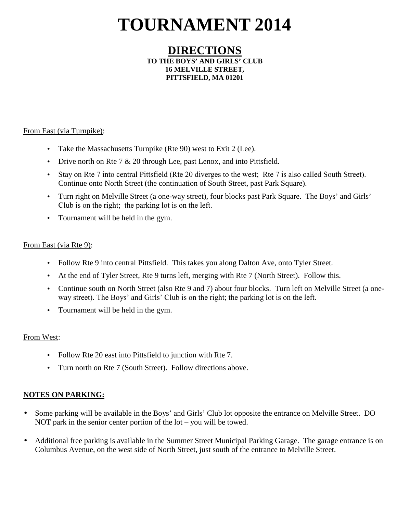# **TOURNAMENT 2014**

#### **DIRECTIONS TO THE BOYS' AND GIRLS' CLUB 16 MELVILLE STREET, PITTSFIELD, MA 01201**

#### From East (via Turnpike):

- Take the Massachusetts Turnpike (Rte 90) west to Exit 2 (Lee).
- Drive north on Rte 7 & 20 through Lee, past Lenox, and into Pittsfield.
- Stay on Rte 7 into central Pittsfield (Rte 20 diverges to the west; Rte 7 is also called South Street). Continue onto North Street (the continuation of South Street, past Park Square).
- Turn right on Melville Street (a one-way street), four blocks past Park Square. The Boys' and Girls' Club is on the right; the parking lot is on the left.
- Tournament will be held in the gym.

#### From East (via Rte 9):

- Follow Rte 9 into central Pittsfield. This takes you along Dalton Ave, onto Tyler Street.
- At the end of Tyler Street, Rte 9 turns left, merging with Rte 7 (North Street). Follow this.
- Continue south on North Street (also Rte 9 and 7) about four blocks. Turn left on Melville Street (a oneway street). The Boys' and Girls' Club is on the right; the parking lot is on the left.
- Tournament will be held in the gym.

#### From West:

- Follow Rte 20 east into Pittsfield to junction with Rte 7.
- Turn north on Rte 7 (South Street). Follow directions above.

#### **NOTES ON PARKING:**

- Some parking will be available in the Boys' and Girls' Club lot opposite the entrance on Melville Street. DO NOT park in the senior center portion of the lot – you will be towed.
- Additional free parking is available in the Summer Street Municipal Parking Garage. The garage entrance is on Columbus Avenue, on the west side of North Street, just south of the entrance to Melville Street.